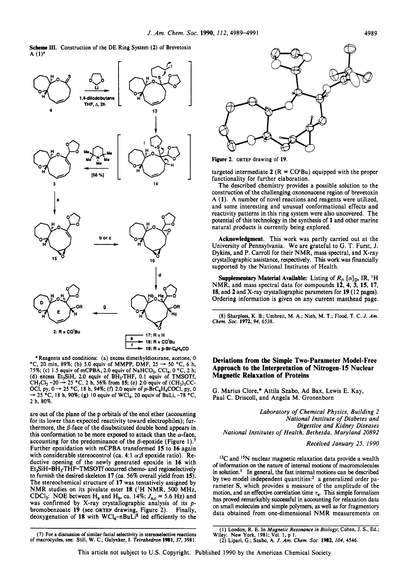**Scheme 111.** Construction of the DE Ring System **(2)** of Brevetoxin A  $(1)^a$ 



*<sup>a</sup>*Reagents and conditions: (a) excess dimethyldioxirane, acetone, 0  $^{\circ}$ C, 20 min, 89%; (b) 5.0 equiv of MMPP, DMF, 25  $\rightarrow$  50  $^{\circ}$ C, 6 h, 75%; (c) 1.5 equiv of mCPBA, 2.0 equiv of NaHCO<sub>3</sub>, CCl<sub>4</sub>, 0 °C, 2 h; 75%; (c) 1.5 equiv of mCPBA, 2.0 equiv of NaHCO<sub>3</sub>, CCl<sub>4</sub>, 0 °C, 2 h; (d) excess Et<sub>3</sub>SiH, 2.0 equiv of BH<sub>3</sub>.THF, 0.1 equiv of TMSOTf, CH<sub>2</sub>Cl<sub>2</sub> -20 → 25 °C, 2 h, 56% from **15**; (e) 2.0 equiv of (CH<sub>3</sub>)<sub>3</sub>CC-<br>CH<sub>2</sub>Cl<sub>2</sub> (d) excess Et<sub>3</sub>SiH, 2.0 equiv of BH<sub>3</sub>·THF, 0.1 equiv of TMSOTI,<br>CH<sub>2</sub>Cl<sub>2</sub> - 20  $\rightarrow$  25 °C, 2 h, 56% from **15**; (e) 2.0 equiv of (CH<sub>3</sub>)<sub>3</sub>CC-<br>OCl, py, 0  $\rightarrow$  25 °C, 18 h, 94%; (f) 2.0 equiv of p-BrC<sub>6</sub>H<sub>4</sub>COCl, py, 0<br>**2** h, 80%.

are out of the plane of the p orbitals of the enol ether (accounting for its lower than expected reactivity toward electrophiles); furthermore, the  $\beta$ -face of the disubstituted double bond appears in this conformation to be more exposed to attack than the  $\alpha$ -face, accounting for the predominance of the  $\beta$ -epoxide (Figure 1).<sup>7</sup> Further epoxidation with mCPBA transformed **15** to **16** again with considerable stereocontrol (ca. 4:1  $\alpha$ : $\beta$  epoxide ratio). Reductive opening of the newly generated epoxide in **16** with Et3SiH-BH3.THF-TMSOTf **occurred** chemo- and regioselectively to furnish the desired skeleton 17 (ca. 56% overall yield from 15). The stereochemical structure of **17** was tentatively assigned by NMR studies **on** its pivalate ester **18 ('H** NMR, **500** MHz, CDCl<sub>3</sub>: NOE between  $H_a$  and  $H_b$ , ca. 14%;  $J_{a,c}$  = 5.6 Hz) and was confirmed by X-ray crystallographic analysis of its *p*bromobenzoate **19** (see **ORTEP** drawing, Figure 2). Finally, deoxygenation of 18 with WCl<sub>6</sub>-nBuLi<sup>8</sup> led efficiently to the



**Figure 2. ORTEP** drawing of **19.** 

targeted intermediate  $2 (R = CO<sup>t</sup>Bu)$  equipped with the proper functionality for further elaboration.

The described chemistry provides a possible solution to the construction of the challenging oxononacene region of brevetoxin A **(1).** A number of novel reactions and reagents were utilized, and some interesting and unusual conformational effects and reactivity patterns in this ring system were also uncovered. The potential of this technology in the synthesis of **1** and other marine natural products is currently being explored.

**Acknowledgment.** This work was partly carried out at the University of Pennsylvania. We are grateful to G. T. Furst, J. Dykins, and P. Carroll for their NMR, mass spectral, and X-ray crystallographic assistance, respectively. This work was financially supported by the National Institutes of Health.

**Supplementary Material Available:** Listing of  $R_f$ ,  $[\alpha]_D$ , IR, <sup>1</sup>H NMR, and mass spectral data for compounds 12, 4, 3, 15, 17, **18, and 2 and X-ray crystallographic parameters for <b>19** (12 pages). Ordering information is given **on** any current masthead page.

**(8)** Sharpless, K. B.; Umbreit, **M.** A.; Nieh, **M. T.; Flood, T.** C. *J. Am. Chem.* **Soc. 1972,94, 6538.** 

## **Deviations from the Simple Two-Parameter Model-Free Approach to the Interpretation of Nitrogen-15 Nuclear Magnetic Relaxation of Proteins**

G. Marius Clore,\* Attila Szabo, Ad Bax, Lewis E. Kay, Paul C. Driscoll, and Angela M. Gronenborn

*Laboratory of Chemical Physics, Building 2 National Institute of Diabetes and Digestive and Kidney Diseases National Institutes of Health, Bethesda. Maryland 20892* 

*Received January 25, 1990* 

<sup>13</sup>C and <sup>15</sup>N nuclear magnetic relaxation data provide a wealth of information on the nature of internal motions of macromolecules in solution.' In general, the fast internal motions can be described by two model independent quantities: $2$  a generalized order parameter s, which provides a measure of the amplitude of the motion, and an effective correlation time  $\tau_e$ . This simple formalism has proved remarkably successful in accounting for relaxation data **on** small molecules and simple polymers, as well **as** for fragmentory data obtained from one-dimensional NMR measurements on

**<sup>(7)</sup>** For a discussion of similar facial selectivity in stereoselective reactions of macrocycles, *scc:* Still, **W.** C.; **Galynker, 1.** *Tetrahedron* **1981,37, 3981.** 

**<sup>(1)</sup>** London, **R. E.** In *Magnetic Resononce in Biology;* Cohen, J. *S.,* Ed.; Wiley: New **York, 1981; Vol. 1,** p **I. (2)** Lipari, G.; **Szabo, A.** *J. Am. Chem.* **SOC. 1982,** *104,* **4546.**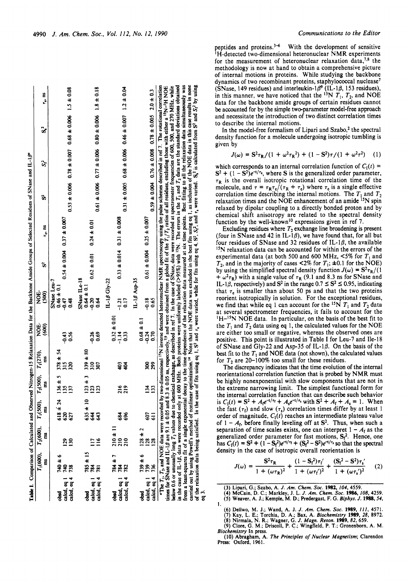| $0.53 \pm 0.006$ $0.78 \pm 0.007$ $0.68 \pm 0.006$ $1.5 \pm 0.08$<br>$0.61 \pm 0.006$ $0.77 \pm 0.006$ $0.80 \pm 0.006$ $1.8 \pm 0.18$<br>$0.54 \pm 0.004$ 0.37 ± 0.007<br>$0.24 \pm 0.01$<br>$\tau_c$ , as<br>$0.62 \pm 0.01$<br>ů,<br>SNase ILe-18<br>$IL-1\beta$ Gly-22<br>SNase Leu-7<br>$0.64 \pm 0.1$<br>$0.46 \pm 0.1$<br>NOE.<br>(500)<br>$-0.20$<br>0.48<br>0.64<br>$-0.47$<br><b>DE-</b><br>$\frac{600}{5}$<br>$-0.26$<br>0.69<br>$-0.43$<br>0.56<br>$315$<br>$315$<br>$339 \pm 80$<br>$T_1(500)$ , $T_2(500)$ , $T_1(270)$ ,<br>Ë<br>320<br>$\frac{10}{2}$<br>307<br>n<br>m<br>Ë<br>$136 \pm$<br>ម<br>មីដូមី<br>135<br>137<br>$\frac{618 \pm 24}{620}$<br>$635 \pm 10$<br>$644$<br>ã<br>627<br>543<br>$T_2(600),$<br>Ë<br>$\frac{16}{1}$<br>129<br>130<br>$\overline{11}$<br>T <sub>1</sub> (600),<br>$\frac{785 \pm 15}{784}$<br>$0 + 6$<br>Ë<br><b>0tL</b><br>738<br>781<br>calcd, eq 1<br>calcd, eq 4<br>calcd, eq 1<br>calcd, eq 4<br>obsd<br>obsd |
|-------------------------------------------------------------------------------------------------------------------------------------------------------------------------------------------------------------------------------------------------------------------------------------------------------------------------------------------------------------------------------------------------------------------------------------------------------------------------------------------------------------------------------------------------------------------------------------------------------------------------------------------------------------------------------------------------------------------------------------------------------------------------------------------------------------------------------------------------------------------------------------------------------------------------------------------------------------------|
|                                                                                                                                                                                                                                                                                                                                                                                                                                                                                                                                                                                                                                                                                                                                                                                                                                                                                                                                                                   |
|                                                                                                                                                                                                                                                                                                                                                                                                                                                                                                                                                                                                                                                                                                                                                                                                                                                                                                                                                                   |
|                                                                                                                                                                                                                                                                                                                                                                                                                                                                                                                                                                                                                                                                                                                                                                                                                                                                                                                                                                   |
| $0.31 \pm 0.005$ $0.68 \pm 0.006$ $0.46 \pm 0.007$ $1.2 \pm 0.04$<br>$0.33 \pm 0.014$ 0.31 $\pm 0.008$<br>0.17<br>$-1.21$<br>$0.32 \pm 0.01$<br>$-1.14$<br>0.33<br>Ş<br>ई<br>216<br>219<br>684<br>696<br>$\frac{210 \pm 11}{210}$<br>$\frac{784 \pm 7}{784}$<br>calcd, eq 1<br>calcd, eq 4<br>ತ್ಥೆ                                                                                                                                                                                                                                                                                                                                                                                                                                                                                                                                                                                                                                                                |
| $IL-1\beta$ Asp-35<br>$0.68 \pm 0.1$<br>$128 \pm 2$<br>$739 \pm 6$<br>obsd                                                                                                                                                                                                                                                                                                                                                                                                                                                                                                                                                                                                                                                                                                                                                                                                                                                                                        |

peptides and proteins. $3-6$  With the development of sensitive **<sup>I</sup>**H-detected two-dimensional heteronuclear NMR experiments for the measurement of heteronuclear relaxation data,  $7.8$  the methodology is now at hand to obtain a comprehensive picture of internal motions in proteins. While studying the backbone dynamics of two recombinant proteins, staphylococcal nuclease' (SNase, 149 residues) and interleukin- $1\beta^9$  (IL-1 $\beta$ , 153 residues), in this manner, we have noticed that the <sup>15</sup>N  $T_1$ ,  $T_2$ , and NOE data for the backbone amide groups of certain residues cannot be accounted for by the simple two-parameter model-free approach and necessitate the introduction of two distinct correlation times to describe the internal motions.

**In** the model-free formalism of Lipari and Szabo? the spectral density function for a molecule undergoing isotropic tumbling is given by

$$
J(\omega) = S^2 \tau_R / (1 + \omega^2 \tau_R^2) + (1 - S^2) \tau / (1 + \omega^2 \tau^2)
$$
 (1)

which corresponds to an internal correlation function of  $C_I(t)$  =  $S^2 + (1 - S^2)e^{-t/\tau_c}$ , where *S* is the generalized order parameter,  $\tau_R$  is the overall isotropic rotational correlation time of the molecule, and  $\tau = \tau_R \tau_c/(\tau_R + \tau_c)$  where  $\tau_c$  is a single effective correlation time describing the internal motions. The  $T_1$  and  $T_2$ relaxation times and the NOE enhancement of an amide <sup>15</sup>N spin relaxed by dipolar coupling to a directly bonded proton and by chemical shift anisotropy are related to the spectral density function by the well-known<sup>10</sup> expressions given in ref 7.

Excluding residues where  $T_2$  exchange line broadening is present (four in SNase and 42 in IL-1 $\beta$ ), we have found that, for all but four residues of SNase and 32 residues of IL-1 $\beta$ , the available <sup>15</sup>N relaxation data can be accounted for within the errors of the experimental data (at both 500 and 600 MHz,  $\leq 5\%$  for  $T_1$  and  $T_2$ , and in the majority of cases <2% for  $T_1$ ;  $\pm 0.1$  for the NOE) by using the simplified spectral density function  $J(\omega) = S^2 \tau_R/(1$  $+\omega^2 \tau_R$ ) with a single value of  $\tau_R$  (9.1 and 8.3 ns for SNase and by using the simplified spectral density function  $J(\omega) = S^2 r_R/(1 + \omega^2 r_R)$  with a single value of  $r_R$  (9.1 and 8.3 ns for SNase and IL-1 $\beta$ , respectively) and S<sup>2</sup> in the range  $0.7 \le S^2 \le 0.95$ , indicating that  $\epsilon$ , is that  $\tau_e$  is smaller than about 50 ps and that the two proteins reorient isotropically in solution. For the exceptional residues, we find that while eq 1 can account for the <sup>15</sup>N  $T_1$  and  $T_2$  data at several spectrometer frequencies, it fails to account for the 'H-I5N NOE data. **In** particular, on the basis of the best fit to the  $T_1$  and  $T_2$  data using eq 1, the calculated values for the NOE are either too small or negative, whereas the observed ones are positive. This point is illustrated in Table I for Leu-7 and Ile-18 of SNase and Gly-22 and Asp-35 of IL-10. **On** the basis of the best fit to the  $T_1$  and NOE data (not shown), the calculated values for  $T_2$  are 20-100% too small for these residues.

The discrepancy indicates that the time evolution of the internal reorientational correlation function that **is** probed by NMR must be highly nonexponential with slow components that are not in the extreme narrowing limit. The simplest functional form for the internal correlation function that can describe such behavior is  $C_1(t) = S^2 + A_1 e^{-t/\tau} + A_s e^{-t/\tau}$  with  $S^2 + A_t + A_s = 1$ . When the fast  $(\tau_f)$  and slow  $(\tau_s)$  correlation times differ by at least 1 order of magnitude,  $C<sub>1</sub>(t)$  reaches an intermediate plateau value of  $1 - A_f$ , before finally leveling off at  $S^2$ . Thus, when such a separation of time scales exists, one can interpret  $1 - A_f$  as the generalized order parameter for fast motions,  $S_f^2$ . Hence, one has  $C_1(t) = S^2 + (1 - S_t^2)e^{-t/\tau} + (S_t^2 - S^2)e^{-t/\tau}$  so that the spectral density in the case of isotropic overall reorientation is

$$
J(\omega) = \frac{S^2 \tau_R}{1 + (\omega \tau_R)^2} + \frac{(1 - S_f^2) \tau_f'}{1 + (\omega \tau_f')^2} + \frac{(S_f^2 - S^2) \tau_s'}{1 + (\omega \tau_s')^2}
$$
(2)

**(3) Lipari. G.; Szabo, A.** *J. Am. Chem. Soc.* **1982, 104,4559.** 

(4) McCain, D. C.; Markley, J. L. J. Am. Chem. Soc. 1986, 108, 4259.<br>(5) Weaver, A. J.; Kemple, M. D.; Predergast, F. G. Biphys. J. 1988, 54,

- (6) Deliwo, M. J.; Wand, A. J. J. Am. Chem. Soc. 1989, 111, 4571.<br>(7) Kay, L. E.; Torchia, D. A.; Bax, A. Biochemistry 1989, 28, 8972.<br>(8) Nirmala, N. R.; Wagner, G. J. Magn. Reson. 1989, 82, 659.<br>(9) Clore, G. M.; Driscol I.
	-

**(IO) Abragham, A.** *The Principles of Nuclear Mugnerism;* **Clarendon**  *Biochemistry* **In press.** 

**Press: Oxford, 1961.**